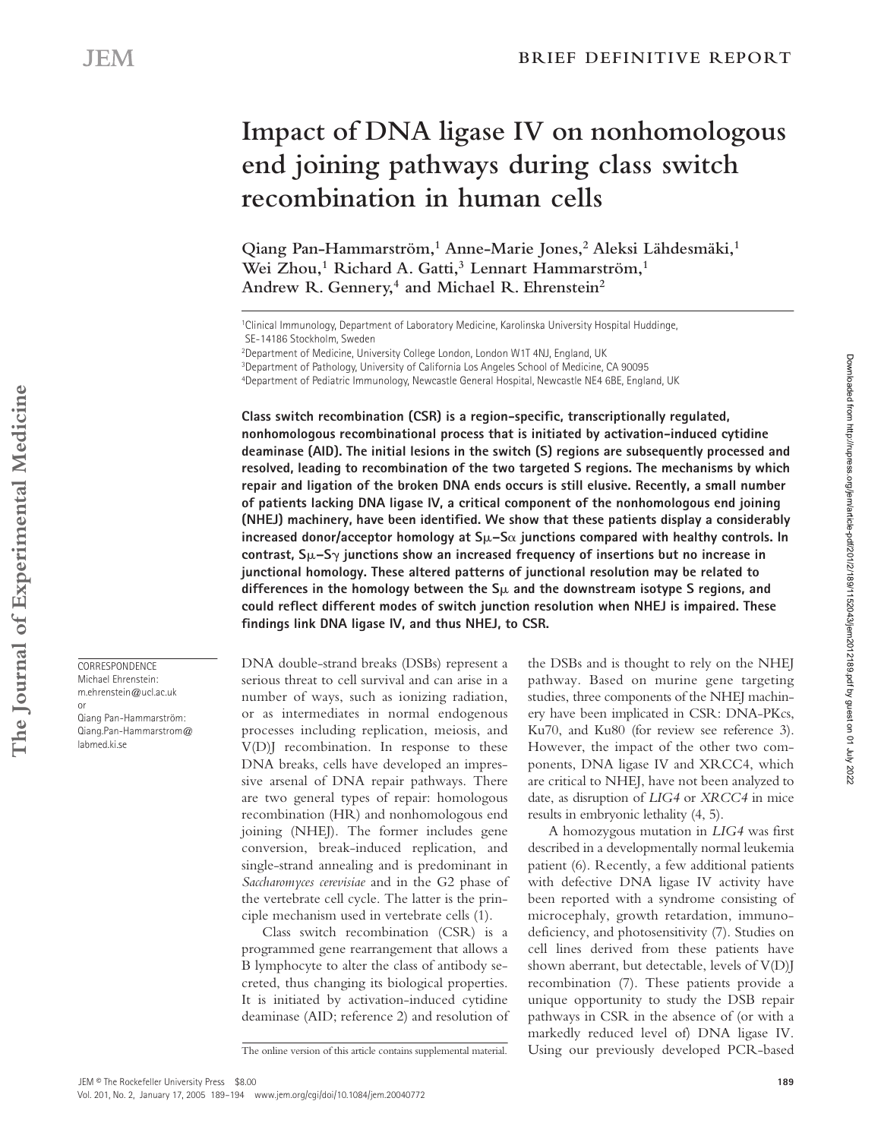# **Impact of DNA ligase IV on nonhomologous end joining pathways during class switch recombination in human cells**

Qiang Pan-Hammarström,<sup>1</sup> Anne-Marie Jones,<sup>2</sup> Aleksi Lähdesmäki,<sup>1</sup> **Wei Zhou,1 Richard A. Gatti,3 Lennart Hammarström,1** Andrew R. Gennery,<sup>4</sup> and Michael R. Ehrenstein<sup>2</sup>

1Clinical Immunology, Department of Laboratory Medicine, Karolinska University Hospital Huddinge, SE-14186 Stockholm, Sweden

3Department of Pathology, University of California Los Angeles School of Medicine, CA 90095 4Department of Pediatric Immunology, Newcastle General Hospital, Newcastle NE4 6BE, England, UK

**Class switch recombination (CSR) is a region-specific, transcriptionally regulated, nonhomologous recombinational process that is initiated by activation-induced cytidine deaminase (AID). The initial lesions in the switch (S) regions are subsequently processed and resolved, leading to recombination of the two targeted S regions. The mechanisms by which repair and ligation of the broken DNA ends occurs is still elusive. Recently, a small number of patients lacking DNA ligase IV, a critical component of the nonhomologous end joining (NHEJ) machinery, have been identified. We show that these patients display a considerably**  increased donor/acceptor homology at S $\mu$ –S $\alpha$  junctions compared with healthy controls. In **contrast, S–S junctions show an increased frequency of insertions but no increase in junctional homology. These altered patterns of junctional resolution may be related to**  differences in the homology between the  $S_{\mu}$  and the downstream isotype S regions, and **could reflect different modes of switch junction resolution when NHEJ is impaired. These findings link DNA ligase IV, and thus NHEJ, to CSR.**

DNA double-strand breaks (DSBs) represent a serious threat to cell survival and can arise in a number of ways, such as ionizing radiation, or as intermediates in normal endogenous processes including replication, meiosis, and V(D)J recombination. In response to these DNA breaks, cells have developed an impressive arsenal of DNA repair pathways. There are two general types of repair: homologous recombination (HR) and nonhomologous end joining (NHEJ). The former includes gene conversion, break-induced replication, and single-strand annealing and is predominant in *Saccharomyces cerevisiae* and in the G2 phase of the vertebrate cell cycle. The latter is the principle mechanism used in vertebrate cells (1).

Class switch recombination (CSR) is a programmed gene rearrangement that allows a B lymphocyte to alter the class of antibody secreted, thus changing its biological properties. It is initiated by activation-induced cytidine deaminase (AID; reference 2) and resolution of the DSBs and is thought to rely on the NHEJ pathway. Based on murine gene targeting studies, three components of the NHEJ machinery have been implicated in CSR: DNA-PKcs, Ku70, and Ku80 (for review see reference 3). However, the impact of the other two components, DNA ligase IV and XRCC4, which are critical to NHEJ, have not been analyzed to date, as disruption of *LIG4* or *XRCC4* in mice results in embryonic lethality (4, 5).

A homozygous mutation in *LIG4* was first described in a developmentally normal leukemia patient (6). Recently, a few additional patients with defective DNA ligase IV activity have been reported with a syndrome consisting of microcephaly, growth retardation, immunodeficiency, and photosensitivity (7). Studies on cell lines derived from these patients have shown aberrant, but detectable, levels of V(D)J recombination (7). These patients provide a unique opportunity to study the DSB repair pathways in CSR in the absence of (or with a markedly reduced level of) DNA ligase IV. The online version of this article contains supplemental material. Using our previously developed PCR-based

**CORRESPONDENCE** Michael Ehrenstein: m.ehrenstein@ucl.ac.uk

or Qiang Pan-Hammarström: Qiang.Pan-Hammarstrom@ labmed.ki.se

Downloaded from http://rupress.org/jem/article-pdf/201/2/189/1152043/jem2012189.pdf by guest on 01 July 2022

Downloaded from http://rupress.org/jem/article-pdf/201/2/189/1152043/jem2012189.pdf by guest on 01 July 2022

<sup>2</sup>Department of Medicine, University College London, London W1T 4NJ, England, UK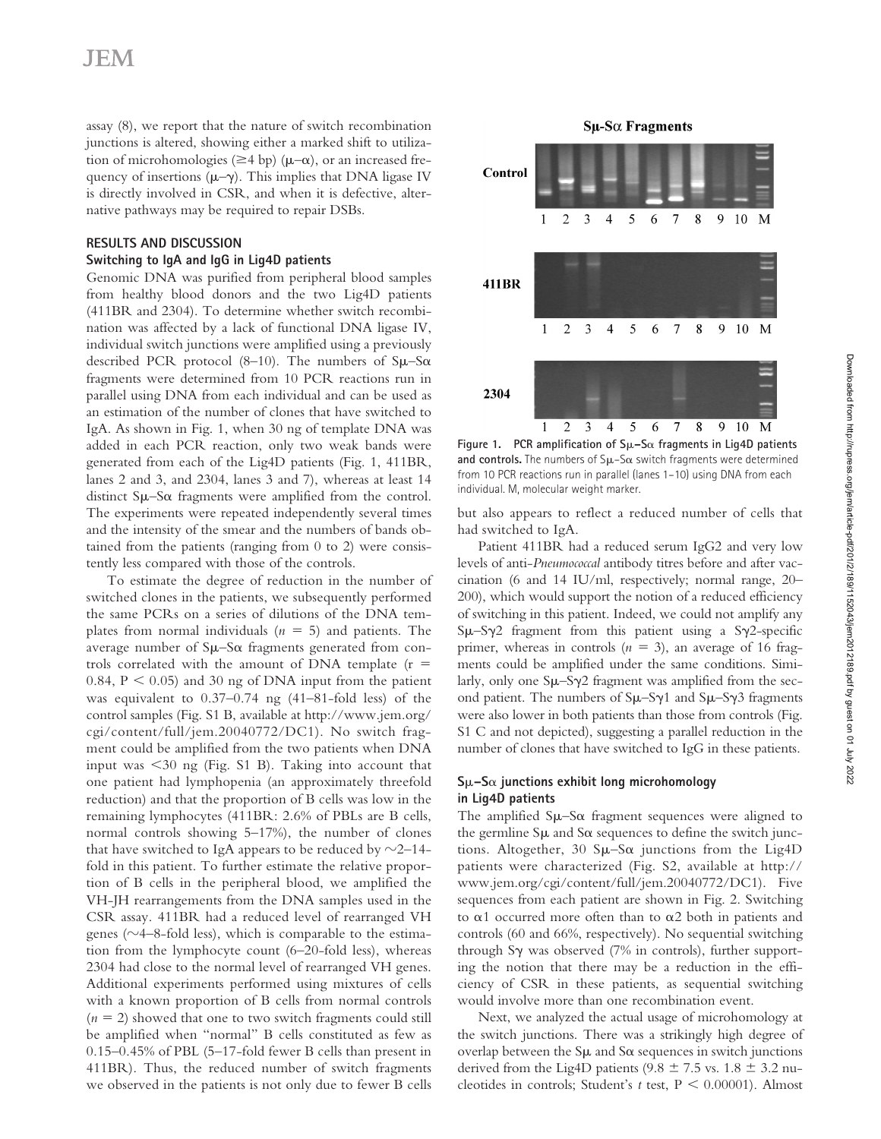assay (8), we report that the nature of switch recombination junctions is altered, showing either a marked shift to utilization of microhomologies ( $\geq$ 4 bp) ( $\mu$ – $\alpha$ ), or an increased frequency of insertions  $(\mu-\gamma)$ . This implies that DNA ligase IV is directly involved in CSR, and when it is defective, alternative pathways may be required to repair DSBs.

## **RESULTS AND DISCUSSION**

## **Switching to IgA and IgG in Lig4D patients**

Genomic DNA was purified from peripheral blood samples from healthy blood donors and the two Lig4D patients (411BR and 2304). To determine whether switch recombination was affected by a lack of functional DNA ligase IV, individual switch junctions were amplified using a previously described PCR protocol (8-10). The numbers of  $S\mu-S\alpha$ fragments were determined from 10 PCR reactions run in parallel using DNA from each individual and can be used as an estimation of the number of clones that have switched to IgA. As shown in Fig. 1, when 30 ng of template DNA was added in each PCR reaction, only two weak bands were generated from each of the Lig4D patients (Fig. 1, 411BR, lanes 2 and 3, and 2304, lanes 3 and 7), whereas at least 14 distinct  $S\mu-S\alpha$  fragments were amplified from the control. The experiments were repeated independently several times and the intensity of the smear and the numbers of bands obtained from the patients (ranging from 0 to 2) were consistently less compared with those of the controls.

we observed in the patients is not only due to fewer B cells cleotides in controls; Student's  $t$  test,  $P < 0.00001$ ). Almost To estimate the degree of reduction in the number of switched clones in the patients, we subsequently performed the same PCRs on a series of dilutions of the DNA templates from normal individuals  $(n = 5)$  and patients. The average number of  $\text{S}\mu-\text{S}\alpha$  fragments generated from controls correlated with the amount of DNA template  $(r =$ 0.84,  $P < 0.05$ ) and 30 ng of DNA input from the patient was equivalent to 0.37–0.74 ng (41–81-fold less) of the control samples (Fig. S1 B, available at http://www.jem.org/ cgi/content/full/jem.20040772/DC1). No switch fragment could be amplified from the two patients when DNA input was  $\leq$ 30 ng (Fig. S1 B). Taking into account that one patient had lymphopenia (an approximately threefold reduction) and that the proportion of B cells was low in the remaining lymphocytes (411BR: 2.6% of PBLs are B cells, normal controls showing 5–17%), the number of clones that have switched to IgA appears to be reduced by  $\sim$ 2–14– fold in this patient. To further estimate the relative proportion of B cells in the peripheral blood, we amplified the VH-JH rearrangements from the DNA samples used in the CSR assay. 411BR had a reduced level of rearranged VH genes ( $\sim$ 4–8-fold less), which is comparable to the estimation from the lymphocyte count (6–20-fold less), whereas 2304 had close to the normal level of rearranged VH genes. Additional experiments performed using mixtures of cells with a known proportion of B cells from normal controls  $(n = 2)$  showed that one to two switch fragments could still be amplified when "normal" B cells constituted as few as 0.15–0.45% of PBL (5–17-fold fewer B cells than present in 411BR). Thus, the reduced number of switch fragments we observed in the patients is not only due to fewer B cells

### $Su-S\alpha$  Fragments



**Figure 1. PCR amplification of S–S**- **fragments in Lig4D patients**  and controls. The numbers of Sµ-Sa switch fragments were determined from 10 PCR reactions run in parallel (lanes 1–10) using DNA from each individual. M, molecular weight marker.

but also appears to reflect a reduced number of cells that had switched to IgA.

Patient 411BR had a reduced serum IgG2 and very low levels of anti-*Pneumococcal* antibody titres before and after vaccination (6 and 14 IU/ml, respectively; normal range, 20– 200), which would support the notion of a reduced efficiency of switching in this patient. Indeed, we could not amplify any  $S\mu-S\gamma2$  fragment from this patient using a S $\gamma2$ -specific primer, whereas in controls  $(n = 3)$ , an average of 16 fragments could be amplified under the same conditions. Similarly, only one  $\text{S}\mu-\text{S}\gamma2$  fragment was amplified from the second patient. The numbers of  $S\mu-S\gamma1$  and  $S\mu-S\gamma3$  fragments were also lower in both patients than those from controls (Fig. S1 C and not depicted), suggesting a parallel reduction in the number of clones that have switched to IgG in these patients.

## **S–S**- **junctions exhibit long microhomology in Lig4D patients**

The amplified  $S\mu-S\alpha$  fragment sequences were aligned to the germline  $\text{S}\mu$  and  $\text{S}\alpha$  sequences to define the switch junctions. Altogether, 30  $S\mu-S\alpha$  junctions from the Lig4D patients were characterized (Fig. S2, available at http:// www.jem.org/cgi/content/full/jem.20040772/DC1). Five sequences from each patient are shown in Fig. 2. Switching to  $\alpha$ 1 occurred more often than to  $\alpha$ 2 both in patients and controls (60 and 66%, respectively). No sequential switching through S $\gamma$  was observed (7% in controls), further supporting the notion that there may be a reduction in the efficiency of CSR in these patients, as sequential switching would involve more than one recombination event.

Next, we analyzed the actual usage of microhomology at the switch junctions. There was a strikingly high degree of overlap between the  $\text{S}\mu$  and  $\text{S}\alpha$  sequences in switch junctions derived from the Lig4D patients (9.8  $\pm$  7.5 vs. 1.8  $\pm$  3.2 nu-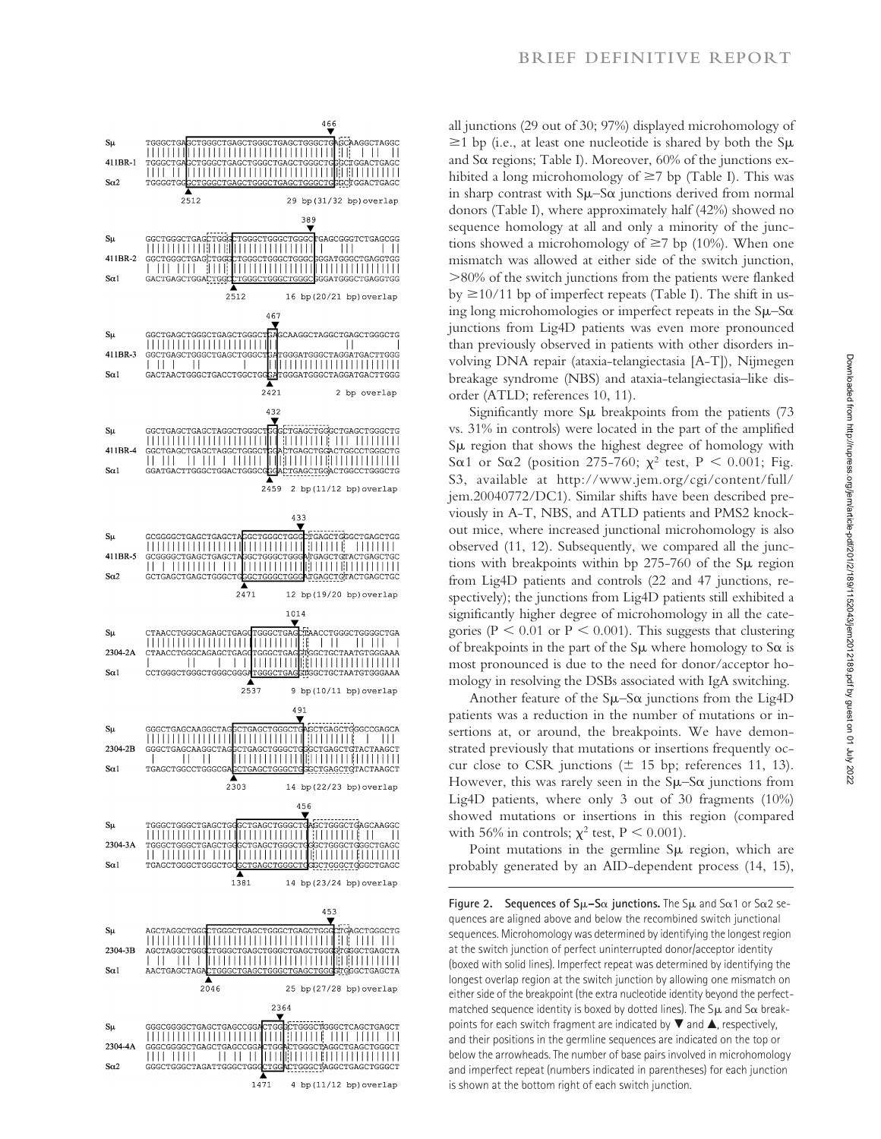

all junctions (29 out of 30; 97%) displayed microhomology of  $\geq$ 1 bp (i.e., at least one nucleotide is shared by both the S $\mu$ and S $\alpha$  regions; Table I). Moreover, 60% of the junctions exhibited a long microhomology of  $\geq$ 7 bp (Table I). This was in sharp contrast with  $S\mu-S\alpha$  junctions derived from normal donors (Table I), where approximately half (42%) showed no sequence homology at all and only a minority of the junctions showed a microhomology of  $\geq$ 7 bp (10%). When one mismatch was allowed at either side of the switch junction, 80% of the switch junctions from the patients were flanked by 10/11 bp of imperfect repeats (Table I). The shift in using long microhomologies or imperfect repeats in the  $S\mu-S\alpha$ junctions from Lig4D patients was even more pronounced than previously observed in patients with other disorders involving DNA repair (ataxia-telangiectasia [A-T]), Nijmegen breakage syndrome (NBS) and ataxia-telangiectasia–like disorder (ATLD; references 10, 11).

Significantly more S breakpoints from the patients (73 vs. 31% in controls) were located in the part of the amplified Sµ region that shows the highest degree of homology with S $\alpha$ 1 or S $\alpha$ 2 (position 275-760;  $\chi^2$  test, P < 0.001; Fig. S3, available at http://www.jem.org/cgi/content/full/ jem.20040772/DC1). Similar shifts have been described previously in A-T, NBS, and ATLD patients and PMS2 knockout mice, where increased junctional microhomology is also observed (11, 12). Subsequently, we compared all the junctions with breakpoints within bp  $275-760$  of the S $\mu$  region from Lig4D patients and controls (22 and 47 junctions, respectively); the junctions from Lig4D patients still exhibited a significantly higher degree of microhomology in all the categories ( $P < 0.01$  or  $P < 0.001$ ). This suggests that clustering of breakpoints in the part of the  $\text{S}\mu$  where homology to  $\text{S}\alpha$  is most pronounced is due to the need for donor/acceptor homology in resolving the DSBs associated with IgA switching.

Another feature of the  $\text{S}\mu-\text{S}\alpha$  junctions from the Lig4D patients was a reduction in the number of mutations or insertions at, or around, the breakpoints. We have demonstrated previously that mutations or insertions frequently occur close to CSR junctions ( $\pm$  15 bp; references 11, 13). However, this was rarely seen in the  $\text{S}\mu-\text{S}\alpha$  junctions from Lig4D patients, where only 3 out of 30 fragments (10%) showed mutations or insertions in this region (compared with 56% in controls;  $\chi^2$  test, P < 0.001).

Point mutations in the germline Su region, which are probably generated by an AID-dependent process (14, 15),

1471 4 bp (11/12 bp) overlap is shown at the bottom right of each switch junction. **Figure 2.** Sequences of  $S\mu-S\alpha$  junctions. The  $S\mu$  and  $S\alpha$ 1 or  $S\alpha$ 2 sequences are aligned above and below the recombined switch junctional sequences. Microhomology was determined by identifying the longest region at the switch junction of perfect uninterrupted donor/acceptor identity (boxed with solid lines). Imperfect repeat was determined by identifying the longest overlap region at the switch junction by allowing one mismatch on either side of the breakpoint (the extra nucleotide identity beyond the perfectmatched sequence identity is boxed by dotted lines). The  $\mathsf{S}\mu$  and  $\mathsf{S}\alpha$  breakpoints for each switch fragment are indicated by  $\blacktriangledown$  and  $\blacktriangle$ , respectively, and their positions in the germline sequences are indicated on the top or below the arrowheads. The number of base pairs involved in microhomology and imperfect repeat (numbers indicated in parentheses) for each junction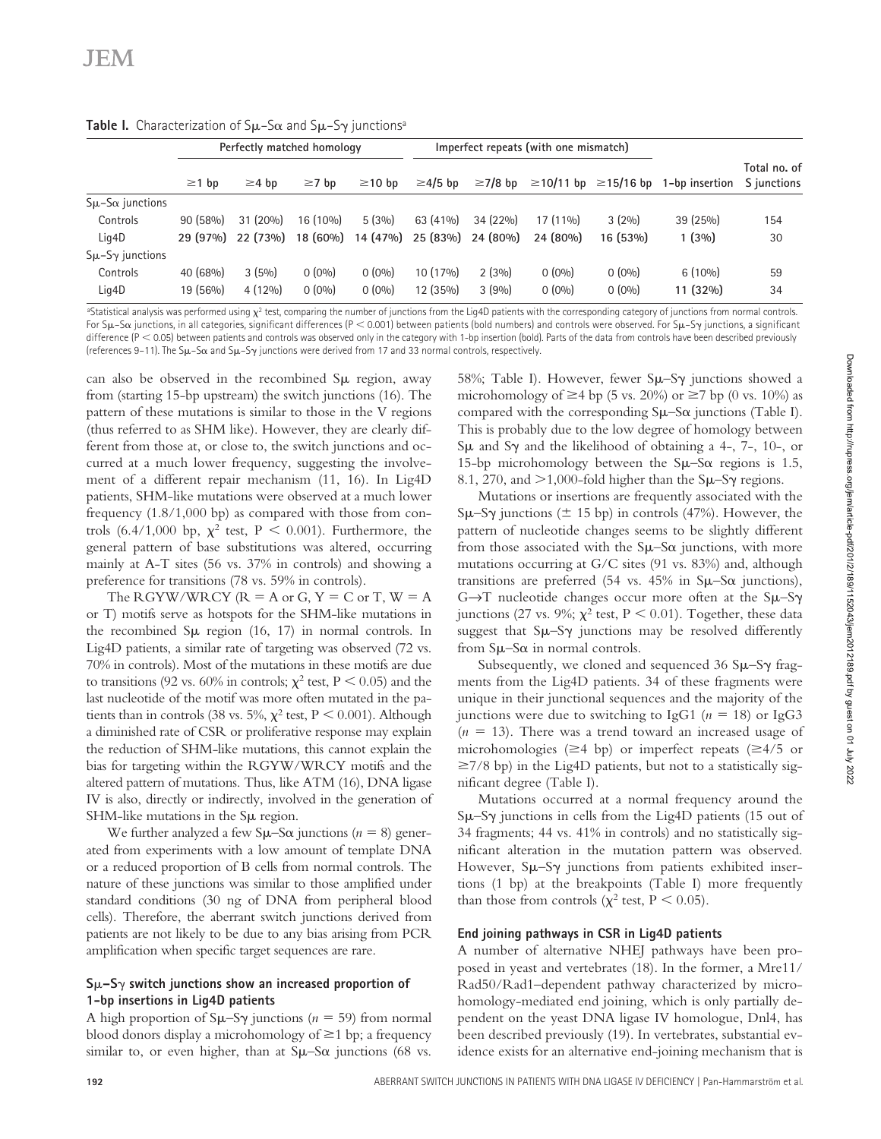|                          | Perfectly matched homology |             |             |              | Imperfect repeats (with one mismatch) |               |            |                                 |                |                             |
|--------------------------|----------------------------|-------------|-------------|--------------|---------------------------------------|---------------|------------|---------------------------------|----------------|-----------------------------|
|                          | $\geq$ 1 bp                | $\geq$ 4 bp | $\geq 7$ bp | $\geq$ 10 bp | $\geq$ 4/5 bp                         | $\geq$ 7/8 bp |            | $\geq$ 10/11 bp $\geq$ 15/16 bp | 1-bp insertion | Total no. of<br>S junctions |
| $S\mu-S\alpha$ junctions |                            |             |             |              |                                       |               |            |                                 |                |                             |
| Controls                 | $90(58\%)$                 | $31(20\%)$  | 16 (10%)    | 5(3%)        | $63(41\%)$                            | 34 (22%)      | $17(11\%)$ | 3(2%)                           | 39 (25%)       | 154                         |
| Lig4D                    | 29(97%)                    | 22(73%)     | $18(60\%)$  | 14 (47%)     | 25 (83%)                              | 24 (80%)      | 24(80%)    | 16 (53%)                        | 1(3%)          | 30                          |
| $S\mu-S\gamma$ junctions |                            |             |             |              |                                       |               |            |                                 |                |                             |
| Controls                 | $40(68\%)$                 | 3(5%)       | $0(0\%)$    | $0(0\%)$     | $10(17\%)$                            | $2(3\%)$      | $0(0\%)$   | $0(0\%)$                        | $6(10\%)$      | 59                          |
| Lig4D                    | 19 (56%)                   | $4(12\%)$   | $0(0\%)$    | $0(0\%)$     | 12 (35%)                              | 3(9%)         | $0(0\%)$   | $0(0\%)$                        | 11 (32%)       | 34                          |

**Table I.** Characterization of Sμ-Sα and Sμ-Sγ junctions<sup>a</sup>

<sup>a</sup>Statistical analysis was performed using  $\chi^2$  test, comparing the number of junctions from the Lig4D patients with the corresponding category of junctions from normal controls. For Sµ–S $\alpha$  junctions, in all categories, significant differences (P  $<$  0.001) between patients (bold numbers) and controls were observed. For Sµ–S $\gamma$  junctions, a significant difference  $(P < 0.05)$  between patients and controls was observed only in the category with 1-bp insertion (bold). Parts of the data from controls have been described previously (references 9–11). The S $\mu$ –S $\alpha$  and S $\mu$ –S $\gamma$  junctions were derived from 17 and 33 normal controls, respectively.

can also be observed in the recombined  $\text{S}\mu$  region, away from (starting 15-bp upstream) the switch junctions (16). The pattern of these mutations is similar to those in the V regions (thus referred to as SHM like). However, they are clearly different from those at, or close to, the switch junctions and occurred at a much lower frequency, suggesting the involvement of a different repair mechanism (11, 16). In Lig4D patients, SHM-like mutations were observed at a much lower frequency (1.8/1,000 bp) as compared with those from controls (6.4/1,000 bp,  $\chi^2$  test, P < 0.001). Furthermore, the general pattern of base substitutions was altered, occurring mainly at A-T sites (56 vs. 37% in controls) and showing a preference for transitions (78 vs. 59% in controls).

The RGYW/WRCY ( $R = A$  or  $G, Y = C$  or  $T, W = A$ or T) motifs serve as hotspots for the SHM-like mutations in the recombined  $S\mu$  region (16, 17) in normal controls. In Lig4D patients, a similar rate of targeting was observed (72 vs. 70% in controls). Most of the mutations in these motifs are due to transitions (92 vs. 60% in controls;  $\chi^2$  test, P < 0.05) and the last nucleotide of the motif was more often mutated in the patients than in controls (38 vs. 5%,  $\chi^2$  test, P < 0.001). Although a diminished rate of CSR or proliferative response may explain the reduction of SHM-like mutations, this cannot explain the bias for targeting within the RGYW/WRCY motifs and the altered pattern of mutations. Thus, like ATM (16), DNA ligase IV is also, directly or indirectly, involved in the generation of SHM-like mutations in the S $\mu$  region.

We further analyzed a few  $\text{S}\mu-\text{S}\alpha$  junctions ( $n = 8$ ) generated from experiments with a low amount of template DNA or a reduced proportion of B cells from normal controls. The nature of these junctions was similar to those amplified under standard conditions (30 ng of DNA from peripheral blood cells). Therefore, the aberrant switch junctions derived from patients are not likely to be due to any bias arising from PCR amplification when specific target sequences are rare.

# **S–S switch junctions show an increased proportion of 1-bp insertions in Lig4D patients**

A high proportion of  $\text{S}\mu-\text{S}\gamma$  junctions (*n* = 59) from normal blood donors display a microhomology of  $\geq 1$  bp; a frequency similar to, or even higher, than at  $S\mu-S\alpha$  junctions (68 vs.

58%; Table I). However, fewer  $S\mu-S\gamma$  junctions showed a microhomology of  $\geq$ 4 bp (5 vs. 20%) or  $\geq$ 7 bp (0 vs. 10%) as compared with the corresponding  $S\mu-S\alpha$  junctions (Table I). This is probably due to the low degree of homology between  $S\mu$  and S $\gamma$  and the likelihood of obtaining a 4-, 7-, 10-, or 15-bp microhomology between the  $S\mu-S\alpha$  regions is 1.5, 8.1, 270, and  $>1,000$ -fold higher than the S $\mu$ –S $\gamma$  regions.

Mutations or insertions are frequently associated with the  $\text{S}\mu-\text{S}\gamma$  junctions ( $\pm$  15 bp) in controls (47%). However, the pattern of nucleotide changes seems to be slightly different from those associated with the  $S\mu-S\alpha$  junctions, with more mutations occurring at G/C sites (91 vs. 83%) and, although transitions are preferred (54 vs. 45% in  $S\mu-S\alpha$  junctions),  $G \rightarrow T$  nucleotide changes occur more often at the  $S\mu-S\gamma$ junctions (27 vs. 9%;  $\chi^2$  test, P < 0.01). Together, these data suggest that  $S\mu-S\gamma$  junctions may be resolved differently from  $S\mu-S\alpha$  in normal controls.

Subsequently, we cloned and sequenced 36  $\mu$ –S $\gamma$  fragments from the Lig4D patients. 34 of these fragments were unique in their junctional sequences and the majority of the junctions were due to switching to IgG1 ( $n = 18$ ) or IgG3  $(n = 13)$ . There was a trend toward an increased usage of microhomologies ( $\geq$ 4 bp) or imperfect repeats ( $\geq$ 4/5 or  $\geq$ 7/8 bp) in the Lig4D patients, but not to a statistically significant degree (Table I).

Mutations occurred at a normal frequency around the  $\text{S}\mu$ –S $\gamma$  junctions in cells from the Lig4D patients (15 out of 34 fragments; 44 vs. 41% in controls) and no statistically significant alteration in the mutation pattern was observed. However,  $S\mu-S\gamma$  junctions from patients exhibited insertions (1 bp) at the breakpoints (Table I) more frequently than those from controls ( $\chi^2$  test, P < 0.05).

# **End joining pathways in CSR in Lig4D patients**

A number of alternative NHEJ pathways have been proposed in yeast and vertebrates (18). In the former, a Mre11/ Rad50/Rad1–dependent pathway characterized by microhomology-mediated end joining, which is only partially dependent on the yeast DNA ligase IV homologue, Dnl4, has been described previously (19). In vertebrates, substantial evidence exists for an alternative end-joining mechanism that is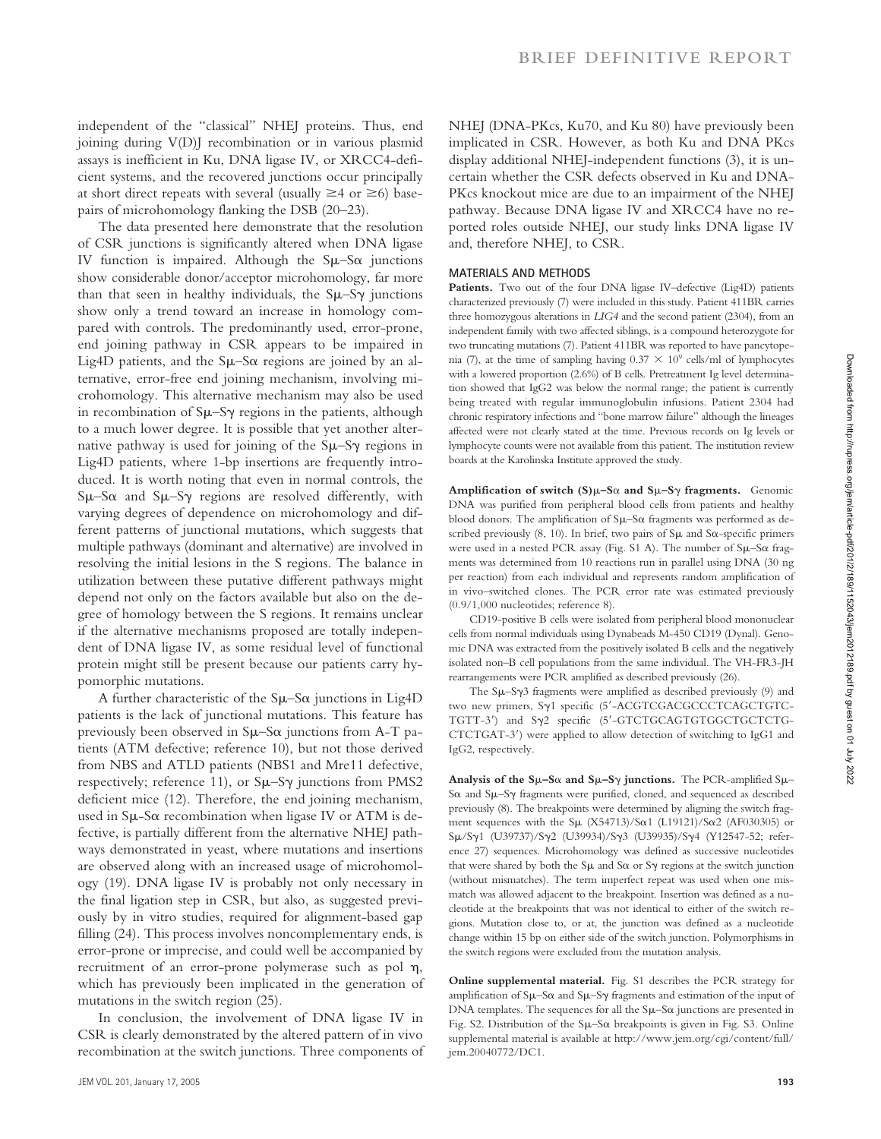independent of the "classical" NHEJ proteins. Thus, end joining during V(D)J recombination or in various plasmid assays is inefficient in Ku, DNA ligase IV, or XRCC4-deficient systems, and the recovered junctions occur principally at short direct repeats with several (usually  $\geq 4$  or  $\geq 6$ ) basepairs of microhomology flanking the DSB (20–23).

The data presented here demonstrate that the resolution of CSR junctions is significantly altered when DNA ligase IV function is impaired. Although the  $S\mu-S\alpha$  junctions show considerable donor/acceptor microhomology, far more than that seen in healthy individuals, the  $\text{S}\mu-\text{S}\gamma$  junctions show only a trend toward an increase in homology compared with controls. The predominantly used, error-prone, end joining pathway in CSR appears to be impaired in Lig4D patients, and the  $S\mu-S\alpha$  regions are joined by an alternative, error-free end joining mechanism, involving microhomology. This alternative mechanism may also be used in recombination of  $S\mu-S\gamma$  regions in the patients, although to a much lower degree. It is possible that yet another alternative pathway is used for joining of the  $\text{S}\mu-\text{S}\gamma$  regions in Lig4D patients, where 1-bp insertions are frequently introduced. It is worth noting that even in normal controls, the  $S\mu-S\alpha$  and  $S\mu-S\gamma$  regions are resolved differently, with varying degrees of dependence on microhomology and different patterns of junctional mutations, which suggests that multiple pathways (dominant and alternative) are involved in resolving the initial lesions in the S regions. The balance in utilization between these putative different pathways might depend not only on the factors available but also on the degree of homology between the S regions. It remains unclear if the alternative mechanisms proposed are totally independent of DNA ligase IV, as some residual level of functional protein might still be present because our patients carry hypomorphic mutations.

A further characteristic of the  $\text{S}\mu-\text{S}\alpha$  junctions in Lig4D patients is the lack of junctional mutations. This feature has previously been observed in  $S\mu-S\alpha$  junctions from A-T patients (ATM defective; reference 10), but not those derived from NBS and ATLD patients (NBS1 and Mre11 defective, respectively; reference 11), or  $S\mu-S\gamma$  junctions from PMS2 deficient mice (12). Therefore, the end joining mechanism, used in  $S\mu$ -S $\alpha$  recombination when ligase IV or ATM is defective, is partially different from the alternative NHEJ pathways demonstrated in yeast, where mutations and insertions are observed along with an increased usage of microhomology (19). DNA ligase IV is probably not only necessary in the final ligation step in CSR, but also, as suggested previously by in vitro studies, required for alignment-based gap filling (24). This process involves noncomplementary ends, is error-prone or imprecise, and could well be accompanied by recruitment of an error-prone polymerase such as pol  $\eta$ , which has previously been implicated in the generation of mutations in the switch region (25).

In conclusion, the involvement of DNA ligase IV in CSR is clearly demonstrated by the altered pattern of in vivo recombination at the switch junctions. Three components of

NHEJ (DNA-PKcs, Ku70, and Ku 80) have previously been implicated in CSR. However, as both Ku and DNA PKcs display additional NHEJ-independent functions (3), it is uncertain whether the CSR defects observed in Ku and DNA-PKcs knockout mice are due to an impairment of the NHEJ pathway. Because DNA ligase IV and XRCC4 have no reported roles outside NHEJ, our study links DNA ligase IV and, therefore NHEJ, to CSR.

## **MATERIALS AND METHODS**

Patients. Two out of the four DNA ligase IV-defective (Lig4D) patients characterized previously (7) were included in this study. Patient 411BR carries three homozygous alterations in *LIG4* and the second patient (2304), from an independent family with two affected siblings, is a compound heterozygote for two truncating mutations (7). Patient 411BR was reported to have pancytopenia (7), at the time of sampling having  $0.37 \times 10^9$  cells/ml of lymphocytes with a lowered proportion (2.6%) of B cells. Pretreatment Ig level determination showed that IgG2 was below the normal range; the patient is currently being treated with regular immunoglobulin infusions. Patient 2304 had chronic respiratory infections and "bone marrow failure" although the lineages affected were not clearly stated at the time. Previous records on Ig levels or lymphocyte counts were not available from this patient. The institution review boards at the Karolinska Institute approved the study.

**Amplification of switch (S)–S**- **and S–S fragments.** Genomic DNA was purified from peripheral blood cells from patients and healthy blood donors. The amplification of  $S\mu-S\alpha$  fragments was performed as described previously  $(8, 10)$ . In brief, two pairs of S $\mu$  and S $\alpha$ -specific primers were used in a nested PCR assay (Fig. S1 A). The number of Sµ-Sa fragments was determined from 10 reactions run in parallel using DNA (30 ng per reaction) from each individual and represents random amplification of in vivo–switched clones. The PCR error rate was estimated previously (0.9/1,000 nucleotides; reference 8).

CD19-positive B cells were isolated from peripheral blood mononuclear cells from normal individuals using Dynabeads M-450 CD19 (Dynal). Genomic DNA was extracted from the positively isolated B cells and the negatively isolated non–B cell populations from the same individual. The VH-FR3-JH rearrangements were PCR amplified as described previously (26).

The  $S\mu-S\gamma3$  fragments were amplified as described previously (9) and two new primers, Sy1 specific (5'-ACGTCGACGCCCTCAGCTGTC-TGTT-3') and Sy2 specific (5'-GTCTGCAGTGTGGCTGCTCTG-CTCTGAT-3) were applied to allow detection of switching to IgG1 and IgG2, respectively.

Analysis of the  $S\mu-S\alpha$  and  $S\mu-S\gamma$  junctions. The PCR-amplified  $S\mu-$ Sox and Su-Sy fragments were purified, cloned, and sequenced as described previously (8). The breakpoints were determined by aligning the switch fragment sequences with the  $\text{S}\mu$  (X54713)/S $\alpha$ 1 (L19121)/S $\alpha$ 2 (AF030305) or Sμ/Sγ1 (U39737)/Sγ2 (U39934)/Sγ3 (U39935)/Sγ4 (Y12547-52; reference 27) sequences. Microhomology was defined as successive nucleotides that were shared by both the  $S\mu$  and  $S\alpha$  or  $S\gamma$  regions at the switch junction (without mismatches). The term imperfect repeat was used when one mismatch was allowed adjacent to the breakpoint. Insertion was defined as a nucleotide at the breakpoints that was not identical to either of the switch regions. Mutation close to, or at, the junction was defined as a nucleotide change within 15 bp on either side of the switch junction. Polymorphisms in the switch regions were excluded from the mutation analysis.

**Online supplemental material.** Fig. S1 describes the PCR strategy for amplification of  $S\mu-S\alpha$  and  $S\mu-S\gamma$  fragments and estimation of the input of  $DNA$  templates. The sequences for all the  $Su-Sa$  junctions are presented in Fig. S2. Distribution of the Su-Sa breakpoints is given in Fig. S3. Online supplemental material is available at http://www.jem.org/cgi/content/full/ jem.20040772/DC1.